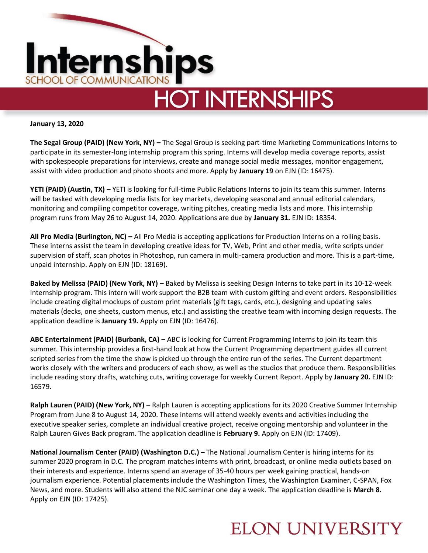

**January 13, 2020**

**The Segal Group (PAID) (New York, NY) –** The Segal Group is seeking part-time Marketing Communications Interns to participate in its semester-long internship program this spring. Interns will develop media coverage reports, assist with spokespeople preparations for interviews, create and manage social media messages, monitor engagement, assist with video production and photo shoots and more. Apply by **January 19** on EJN (ID: 16475).

**YETI (PAID) (Austin, TX) –** YETI is looking for full-time Public Relations Interns to join its team this summer. Interns will be tasked with developing media lists for key markets, developing seasonal and annual editorial calendars, monitoring and compiling competitor coverage, writing pitches, creating media lists and more. This internship program runs from May 26 to August 14, 2020. Applications are due by **January 31.** EJN ID: 18354.

**All Pro Media (Burlington, NC) –** All Pro Media is accepting applications for Production Interns on a rolling basis. These interns assist the team in developing creative ideas for TV, Web, Print and other media, write scripts under supervision of staff, scan photos in Photoshop, run camera in multi-camera production and more. This is a part-time, unpaid internship. Apply on EJN (ID: 18169).

**Baked by Melissa (PAID) (New York, NY) –** Baked by Melissa is seeking Design Interns to take part in its 10-12-week internship program. This intern will work support the B2B team with custom gifting and event orders. Responsibilities include creating digital mockups of custom print materials (gift tags, cards, etc.), designing and updating sales materials (decks, one sheets, custom menus, etc.) and assisting the creative team with incoming design requests. The application deadline is **January 19.** Apply on EJN (ID: 16476).

**ABC Entertainment (PAID) (Burbank, CA) –** ABC is looking for Current Programming Interns to join its team this summer. This internship provides a first-hand look at how the Current Programming department guides all current scripted series from the time the show is picked up through the entire run of the series. The Current department works closely with the writers and producers of each show, as well as the studios that produce them. Responsibilities include reading story drafts, watching cuts, writing coverage for weekly Current Report. Apply by **January 20.** EJN ID: 16579.

**Ralph Lauren (PAID) (New York, NY) –** Ralph Lauren is accepting applications for its 2020 Creative Summer Internship Program from June 8 to August 14, 2020. These interns will attend weekly events and activities including the executive speaker series, complete an individual creative project, receive ongoing mentorship and volunteer in the Ralph Lauren Gives Back program. The application deadline is **February 9.** Apply on EJN (ID: 17409).

**National Journalism Center (PAID) (Washington D.C.) –** The National Journalism Center is hiring interns for its summer 2020 program in D.C. The program matches interns with print, broadcast, or online media outlets based on their interests and experience. Interns spend an average of 35-40 hours per week gaining practical, hands-on journalism experience. Potential placements include the Washington Times, the Washington Examiner, C-SPAN, Fox News, and more. Students will also attend the NJC seminar one day a week. The application deadline is **March 8.**  Apply on EJN (ID: 17425).

## **ELON UNIVERSITY**